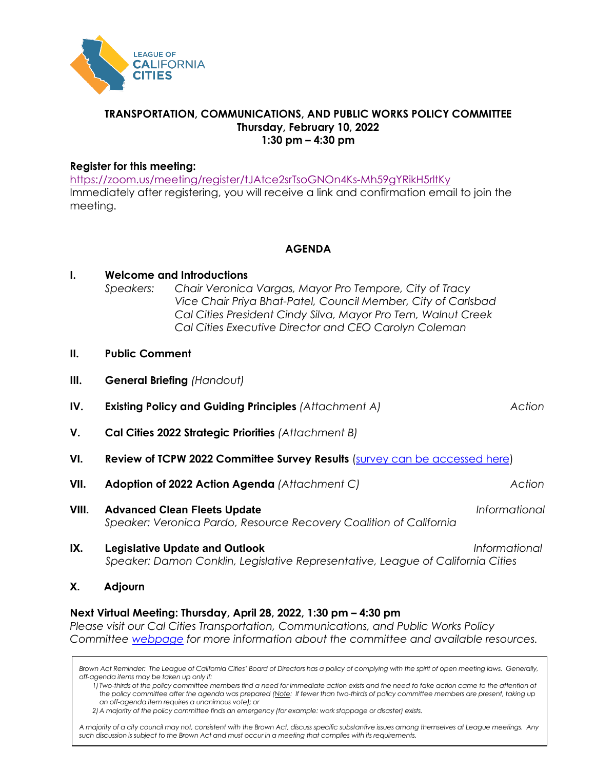

#### **TRANSPORTATION, COMMUNICATIONS, AND PUBLIC WORKS POLICY COMMITTEE Thursday, February 10, 2022 1:30 pm – 4:30 pm**

#### **Register for this meeting:**

<https://zoom.us/meeting/register/tJAtce2srTsoGNOn4Ks-Mh59gYRikH5rltKy> Immediately after registering, you will receive a link and confirmation email to join the meeting.

**AGENDA**

| Ι.    | <b>Welcome and Introductions</b><br>Chair Veronica Vargas, Mayor Pro Tempore, City of Tracy<br>Speakers:<br>Vice Chair Priya Bhat-Patel, Council Member, City of Carlsbad<br>Cal Cities President Cindy Silva, Mayor Pro Tem, Walnut Creek<br>Cal Cities Executive Director and CEO Carolyn Coleman |                                                                                                                          |               |
|-------|-----------------------------------------------------------------------------------------------------------------------------------------------------------------------------------------------------------------------------------------------------------------------------------------------------|--------------------------------------------------------------------------------------------------------------------------|---------------|
| Н.    | <b>Public Comment</b>                                                                                                                                                                                                                                                                               |                                                                                                                          |               |
| III.  | <b>General Briefing (Handout)</b>                                                                                                                                                                                                                                                                   |                                                                                                                          |               |
| IV.   | <b>Existing Policy and Guiding Principles (Attachment A)</b><br>Action                                                                                                                                                                                                                              |                                                                                                                          |               |
| V.    | Cal Cities 2022 Strategic Priorities (Attachment B)                                                                                                                                                                                                                                                 |                                                                                                                          |               |
| VI.   | <b>Review of TCPW 2022 Committee Survey Results</b> (survey can be accessed here)                                                                                                                                                                                                                   |                                                                                                                          |               |
| VII.  |                                                                                                                                                                                                                                                                                                     | Adoption of 2022 Action Agenda (Attachment C)                                                                            | Action        |
| VIII. |                                                                                                                                                                                                                                                                                                     | <b>Advanced Clean Fleets Update</b><br>Speaker: Veronica Pardo, Resource Recovery Coalition of California                | Informational |
| IX.   |                                                                                                                                                                                                                                                                                                     | <b>Legislative Update and Outlook</b><br>Speaker: Damon Conklin, Legislative Representative, League of California Cities | Informational |
| Х.    | Adjourn                                                                                                                                                                                                                                                                                             |                                                                                                                          |               |

#### **Next Virtual Meeting: Thursday, April 28, 2022, 1:30 pm – 4:30 pm**

*Please visit our Cal Cities Transportation, Communications, and Public Works Policy Committee [webpage](https://www.calcities.org/home/advocacy/policy-areas-and-committees/transportation-communication-and-public-works) for more information about the committee and available resources.*

*Brown Act Reminder: The League of California Cities' Board of Directors has a policy of complying with the spirit of open meeting laws. Generally, off-agenda items may be taken up only if:*

*1) Two-thirds of the policy committee members find a need for immediate action exists and the need to take action came to the attention of the policy committee after the agenda was prepared (Note: If fewer than two-thirds of policy committee members are present, taking up an off-agenda item requires a unanimous vote); or*

*2)A majority of the policy committee finds an emergency (for example: work stoppage or disaster) exists.* 

*A majority of a city council may not, consistent with the Brown Act, discuss specific substantive issues among themselves at League meetings. Any such discussion is subject to the Brown Act and must occur in a meeting that complies with its requirements.*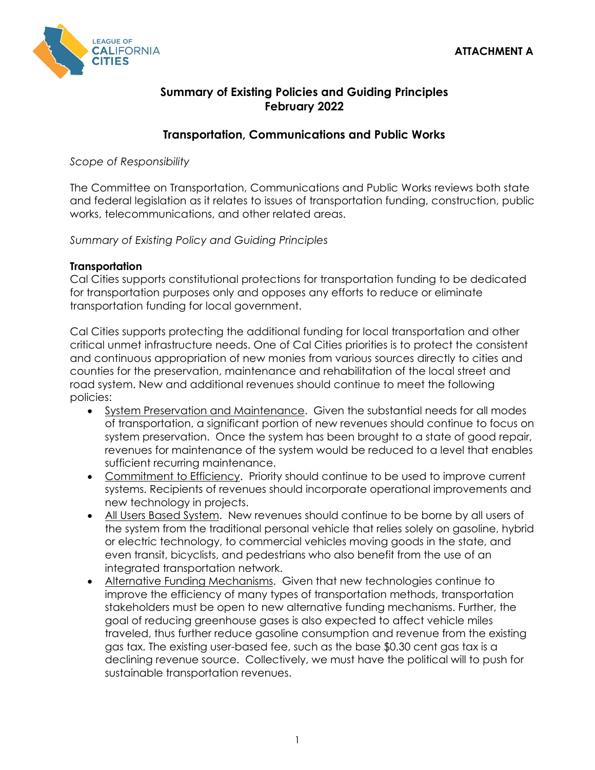

# **Summary of Existing Policies and Guiding Principles February 2022**

# **Transportation, Communications and Public Works**

*Scope of Responsibility*

The Committee on Transportation, Communications and Public Works reviews both state and federal legislation as it relates to issues of transportation funding, construction, public works, telecommunications, and other related areas.

*Summary of Existing Policy and Guiding Principles*

## **Transportation**

Cal Cities supports constitutional protections for transportation funding to be dedicated for transportation purposes only and opposes any efforts to reduce or eliminate transportation funding for local government.

Cal Cities supports protecting the additional funding for local transportation and other critical unmet infrastructure needs. One of Cal Cities priorities is to protect the consistent and continuous appropriation of new monies from various sources directly to cities and counties for the preservation, maintenance and rehabilitation of the local street and road system. New and additional revenues should continue to meet the following policies:

- System Preservation and Maintenance. Given the substantial needs for all modes of transportation, a significant portion of new revenues should continue to focus on system preservation. Once the system has been brought to a state of good repair, revenues for maintenance of the system would be reduced to a level that enables sufficient recurring maintenance.
- Commitment to Efficiency. Priority should continue to be used to improve current systems. Recipients of revenues should incorporate operational improvements and new technology in projects.
- All Users Based System. New revenues should continue to be borne by all users of the system from the traditional personal vehicle that relies solely on gasoline, hybrid or electric technology, to commercial vehicles moving goods in the state, and even transit, bicyclists, and pedestrians who also benefit from the use of an integrated transportation network.
- Alternative Funding Mechanisms. Given that new technologies continue to improve the efficiency of many types of transportation methods, transportation stakeholders must be open to new alternative funding mechanisms. Further, the goal of reducing greenhouse gases is also expected to affect vehicle miles traveled, thus further reduce gasoline consumption and revenue from the existing gas tax. The existing user-based fee, such as the base \$0.30 cent gas tax is a declining revenue source. Collectively, we must have the political will to push for sustainable transportation revenues.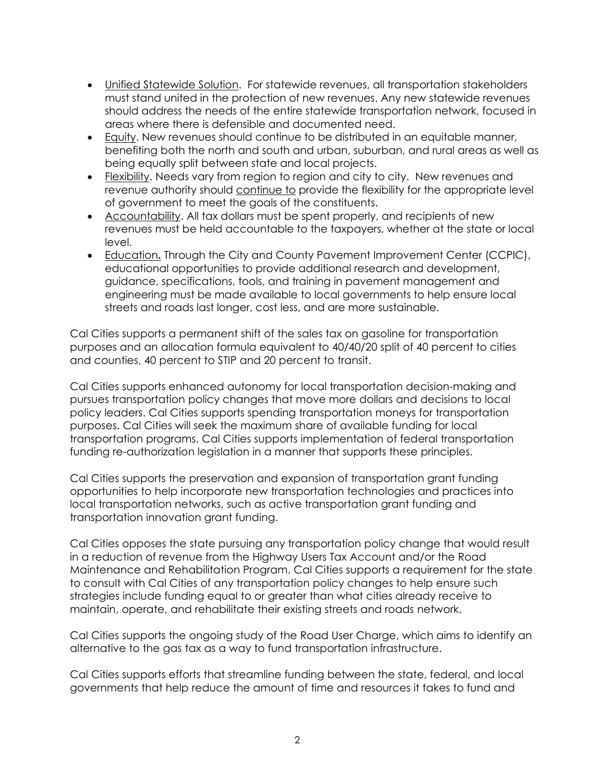- Unified Statewide Solution. For statewide revenues, all transportation stakeholders must stand united in the protection of new revenues. Any new statewide revenues should address the needs of the entire statewide transportation network, focused in areas where there is defensible and documented need.
- Equity. New revenues should continue to be distributed in an equitable manner, benefiting both the north and south and urban, suburban, and rural areas as well as being equally split between state and local projects.
- Flexibility. Needs vary from region to region and city to city. New revenues and revenue authority should continue to provide the flexibility for the appropriate level of government to meet the goals of the constituents.
- Accountability. All tax dollars must be spent properly, and recipients of new revenues must be held accountable to the taxpayers, whether at the state or local level.
- Education**.** Through the City and County Pavement Improvement Center (CCPIC), educational opportunities to provide additional research and development, guidance, specifications, tools, and training in pavement management and engineering must be made available to local governments to help ensure local streets and roads last longer, cost less, and are more sustainable.

Cal Cities supports a permanent shift of the sales tax on gasoline for transportation purposes and an allocation formula equivalent to 40/40/20 split of 40 percent to cities and counties, 40 percent to STIP and 20 percent to transit.

Cal Cities supports enhanced autonomy for local transportation decision-making and pursues transportation policy changes that move more dollars and decisions to local policy leaders. Cal Cities supports spending transportation moneys for transportation purposes. Cal Cities will seek the maximum share of available funding for local transportation programs. Cal Cities supports implementation of federal transportation funding re-authorization legislation in a manner that supports these principles.

Cal Cities supports the preservation and expansion of transportation grant funding opportunities to help incorporate new transportation technologies and practices into local transportation networks, such as active transportation grant funding and transportation innovation grant funding.

Cal Cities opposes the state pursuing any transportation policy change that would result in a reduction of revenue from the Highway Users Tax Account and/or the Road Maintenance and Rehabilitation Program. Cal Cities supports a requirement for the state to consult with Cal Cities of any transportation policy changes to help ensure such strategies include funding equal to or greater than what cities already receive to maintain, operate, and rehabilitate their existing streets and roads network.

Cal Cities supports the ongoing study of the Road User Charge, which aims to identify an alternative to the gas tax as a way to fund transportation infrastructure.

Cal Cities supports efforts that streamline funding between the state, federal, and local governments that help reduce the amount of time and resources it takes to fund and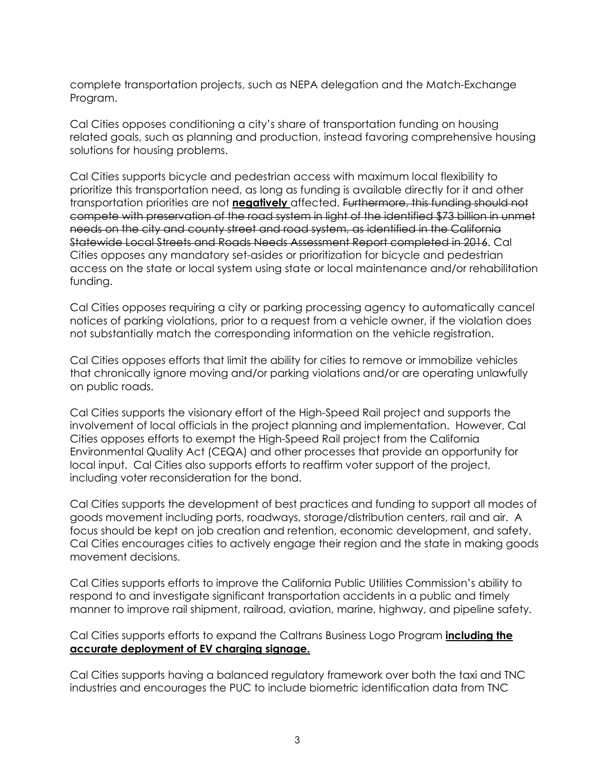complete transportation projects, such as NEPA delegation and the Match-Exchange Program.

Cal Cities opposes conditioning a city's share of transportation funding on housing related goals, such as planning and production, instead favoring comprehensive housing solutions for housing problems.

Cal Cities supports bicycle and pedestrian access with maximum local flexibility to prioritize this transportation need, as long as funding is available directly for it and other transportation priorities are not **negatively** affected. Furthermore, this funding should not compete with preservation of the road system in light of the identified \$73 billion in unmet needs on the city and county street and road system, as identified in the California Statewide Local Streets and Roads Needs Assessment Report completed in 2016. Cal Cities opposes any mandatory set-asides or prioritization for bicycle and pedestrian access on the state or local system using state or local maintenance and/or rehabilitation funding.

Cal Cities opposes requiring a city or parking processing agency to automatically cancel notices of parking violations, prior to a request from a vehicle owner, if the violation does not substantially match the corresponding information on the vehicle registration.

Cal Cities opposes efforts that limit the ability for cities to remove or immobilize vehicles that chronically ignore moving and/or parking violations and/or are operating unlawfully on public roads.

Cal Cities supports the visionary effort of the High-Speed Rail project and supports the involvement of local officials in the project planning and implementation. However, Cal Cities opposes efforts to exempt the High-Speed Rail project from the California Environmental Quality Act (CEQA) and other processes that provide an opportunity for local input. Cal Cities also supports efforts to reaffirm voter support of the project, including voter reconsideration for the bond.

Cal Cities supports the development of best practices and funding to support all modes of goods movement including ports, roadways, storage/distribution centers, rail and air. A focus should be kept on job creation and retention, economic development, and safety. Cal Cities encourages cities to actively engage their region and the state in making goods movement decisions.

Cal Cities supports efforts to improve the California Public Utilities Commission's ability to respond to and investigate significant transportation accidents in a public and timely manner to improve rail shipment, railroad, aviation, marine, highway, and pipeline safety.

## Cal Cities supports efforts to expand the Caltrans Business Logo Program **including the accurate deployment of EV charging signage.**

Cal Cities supports having a balanced regulatory framework over both the taxi and TNC industries and encourages the PUC to include biometric identification data from TNC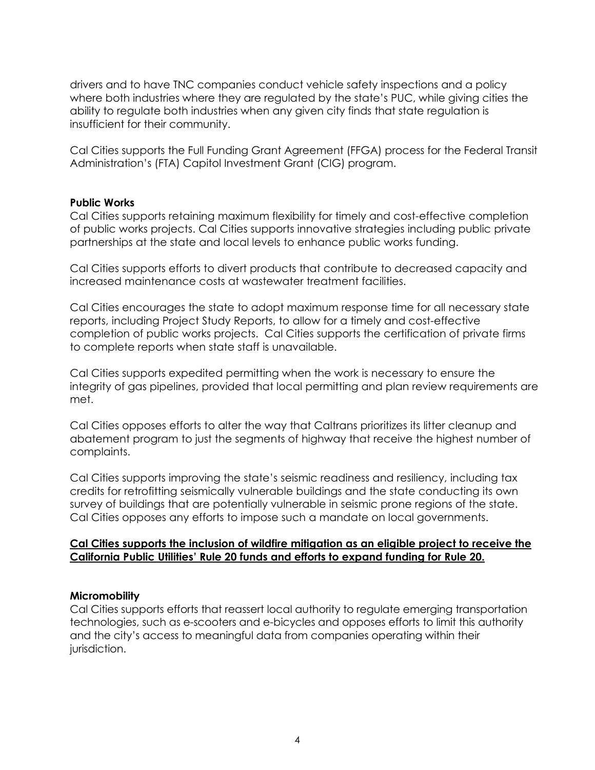drivers and to have TNC companies conduct vehicle safety inspections and a policy where both industries where they are regulated by the state's PUC, while giving cities the ability to regulate both industries when any given city finds that state regulation is insufficient for their community.

Cal Cities supports the Full Funding Grant Agreement (FFGA) process for the Federal Transit Administration's (FTA) Capitol Investment Grant (CIG) program.

#### **Public Works**

Cal Cities supports retaining maximum flexibility for timely and cost-effective completion of public works projects. Cal Cities supports innovative strategies including public private partnerships at the state and local levels to enhance public works funding.

Cal Cities supports efforts to divert products that contribute to decreased capacity and increased maintenance costs at wastewater treatment facilities.

Cal Cities encourages the state to adopt maximum response time for all necessary state reports, including Project Study Reports, to allow for a timely and cost-effective completion of public works projects. Cal Cities supports the certification of private firms to complete reports when state staff is unavailable.

Cal Cities supports expedited permitting when the work is necessary to ensure the integrity of gas pipelines, provided that local permitting and plan review requirements are met.

Cal Cities opposes efforts to alter the way that Caltrans prioritizes its litter cleanup and abatement program to just the segments of highway that receive the highest number of complaints.

Cal Cities supports improving the state's seismic readiness and resiliency, including tax credits for retrofitting seismically vulnerable buildings and the state conducting its own survey of buildings that are potentially vulnerable in seismic prone regions of the state. Cal Cities opposes any efforts to impose such a mandate on local governments.

#### **Cal Cities supports the inclusion of wildfire mitigation as an eligible project to receive the California Public Utilities' Rule 20 funds and efforts to expand funding for Rule 20.**

#### **Micromobility**

Cal Cities supports efforts that reassert local authority to regulate emerging transportation technologies, such as e-scooters and e-bicycles and opposes efforts to limit this authority and the city's access to meaningful data from companies operating within their jurisdiction.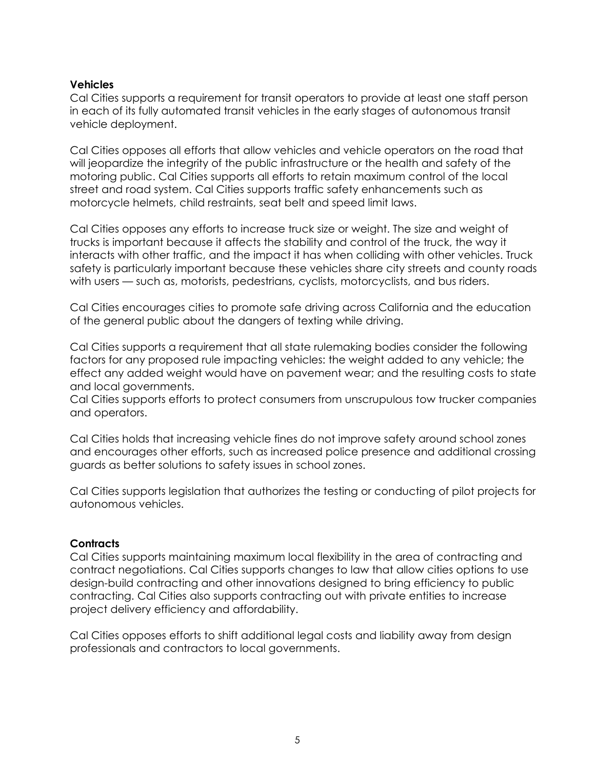## **Vehicles**

Cal Cities supports a requirement for transit operators to provide at least one staff person in each of its fully automated transit vehicles in the early stages of autonomous transit vehicle deployment.

Cal Cities opposes all efforts that allow vehicles and vehicle operators on the road that will jeopardize the integrity of the public infrastructure or the health and safety of the motoring public. Cal Cities supports all efforts to retain maximum control of the local street and road system. Cal Cities supports traffic safety enhancements such as motorcycle helmets, child restraints, seat belt and speed limit laws.

Cal Cities opposes any efforts to increase truck size or weight. The size and weight of trucks is important because it affects the stability and control of the truck, the way it interacts with other traffic, and the impact it has when colliding with other vehicles. Truck safety is particularly important because these vehicles share city streets and county roads with users — such as, motorists, pedestrians, cyclists, motorcyclists, and bus riders.

Cal Cities encourages cities to promote safe driving across California and the education of the general public about the dangers of texting while driving.

Cal Cities supports a requirement that all state rulemaking bodies consider the following factors for any proposed rule impacting vehicles: the weight added to any vehicle; the effect any added weight would have on pavement wear; and the resulting costs to state and local governments.

Cal Cities supports efforts to protect consumers from unscrupulous tow trucker companies and operators.

Cal Cities holds that increasing vehicle fines do not improve safety around school zones and encourages other efforts, such as increased police presence and additional crossing guards as better solutions to safety issues in school zones.

Cal Cities supports legislation that authorizes the testing or conducting of pilot projects for autonomous vehicles.

## **Contracts**

Cal Cities supports maintaining maximum local flexibility in the area of contracting and contract negotiations. Cal Cities supports changes to law that allow cities options to use design-build contracting and other innovations designed to bring efficiency to public contracting. Cal Cities also supports contracting out with private entities to increase project delivery efficiency and affordability.

Cal Cities opposes efforts to shift additional legal costs and liability away from design professionals and contractors to local governments.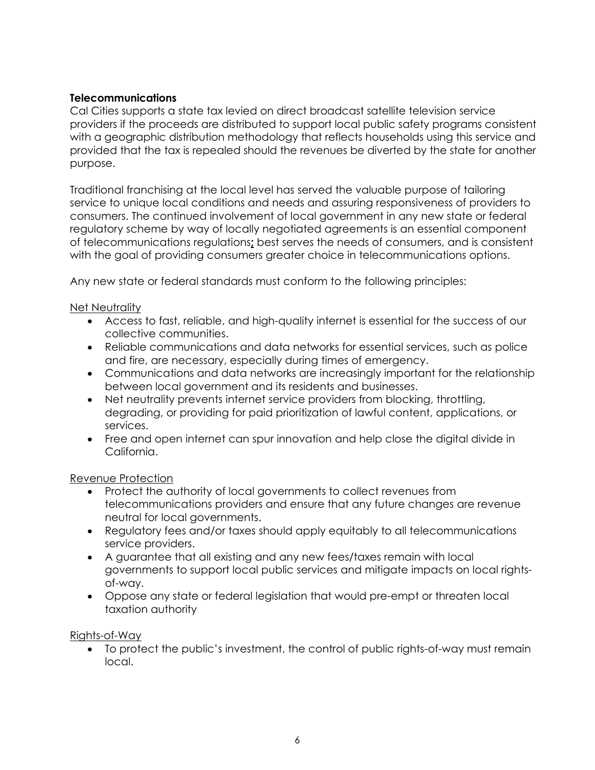## **Telecommunications**

Cal Cities supports a state tax levied on direct broadcast satellite television service providers if the proceeds are distributed to support local public safety programs consistent with a geographic distribution methodology that reflects households using this service and provided that the tax is repealed should the revenues be diverted by the state for another purpose.

Traditional franchising at the local level has served the valuable purpose of tailoring service to unique local conditions and needs and assuring responsiveness of providers to consumers. The continued involvement of local government in any new state or federal regulatory scheme by way of locally negotiated agreements is an essential component of telecommunications regulations**;** best serves the needs of consumers, and is consistent with the goal of providing consumers greater choice in telecommunications options.

Any new state or federal standards must conform to the following principles:

## Net Neutrality

- Access to fast, reliable, and high-quality internet is essential for the success of our collective communities.
- Reliable communications and data networks for essential services, such as police and fire, are necessary, especially during times of emergency.
- Communications and data networks are increasingly important for the relationship between local government and its residents and businesses.
- Net neutrality prevents internet service providers from blocking, throttling, degrading, or providing for paid prioritization of lawful content, applications, or services.
- Free and open internet can spur innovation and help close the digital divide in California.

#### Revenue Protection

- Protect the authority of local governments to collect revenues from telecommunications providers and ensure that any future changes are revenue neutral for local governments.
- Regulatory fees and/or taxes should apply equitably to all telecommunications service providers.
- A guarantee that all existing and any new fees/taxes remain with local governments to support local public services and mitigate impacts on local rightsof-way.
- Oppose any state or federal legislation that would pre-empt or threaten local taxation authority

#### Rights-of-Way

• To protect the public's investment, the control of public rights-of-way must remain local.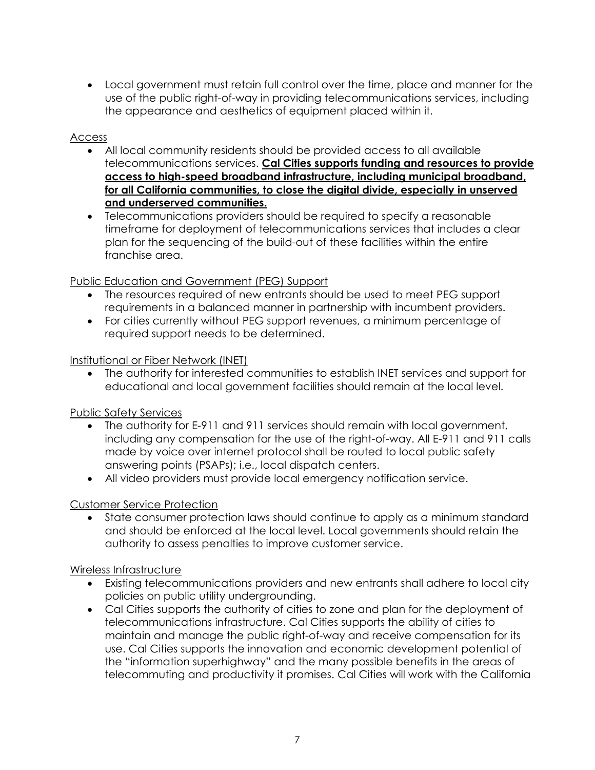• Local government must retain full control over the time, place and manner for the use of the public right-of-way in providing telecommunications services, including the appearance and aesthetics of equipment placed within it.

## Access

- All local community residents should be provided access to all available telecommunications services. **Cal Cities supports funding and resources to provide access to high-speed broadband infrastructure, including municipal broadband, for all California communities, to close the digital divide, especially in unserved and underserved communities.**
- Telecommunications providers should be required to specify a reasonable timeframe for deployment of telecommunications services that includes a clear plan for the sequencing of the build-out of these facilities within the entire franchise area.

## Public Education and Government (PEG) Support

- The resources required of new entrants should be used to meet PEG support requirements in a balanced manner in partnership with incumbent providers.
- For cities currently without PEG support revenues, a minimum percentage of required support needs to be determined.

## Institutional or Fiber Network (INET)

• The authority for interested communities to establish INET services and support for educational and local government facilities should remain at the local level.

# Public Safety Services

- The authority for E-911 and 911 services should remain with local government, including any compensation for the use of the right-of-way. All E-911 and 911 calls made by voice over internet protocol shall be routed to local public safety answering points (PSAPs); i.e., local dispatch centers.
- All video providers must provide local emergency notification service.

# Customer Service Protection

• State consumer protection laws should continue to apply as a minimum standard and should be enforced at the local level. Local governments should retain the authority to assess penalties to improve customer service.

## Wireless Infrastructure

- Existing telecommunications providers and new entrants shall adhere to local city policies on public utility undergrounding.
- Cal Cities supports the authority of cities to zone and plan for the deployment of telecommunications infrastructure. Cal Cities supports the ability of cities to maintain and manage the public right-of-way and receive compensation for its use. Cal Cities supports the innovation and economic development potential of the "information superhighway" and the many possible benefits in the areas of telecommuting and productivity it promises. Cal Cities will work with the California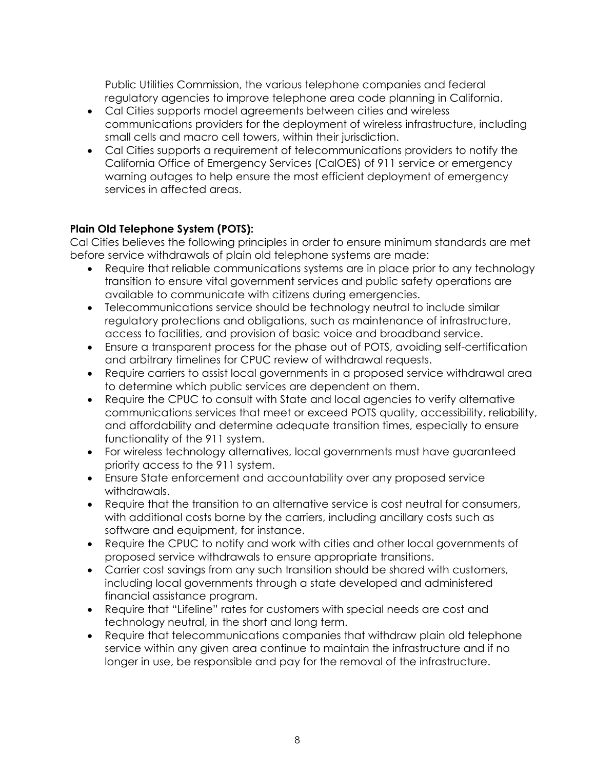Public Utilities Commission, the various telephone companies and federal regulatory agencies to improve telephone area code planning in California.

- Cal Cities supports model agreements between cities and wireless communications providers for the deployment of wireless infrastructure, including small cells and macro cell towers, within their jurisdiction.
- Cal Cities supports a requirement of telecommunications providers to notify the California Office of Emergency Services (CalOES) of 911 service or emergency warning outages to help ensure the most efficient deployment of emergency services in affected areas.

## **Plain Old Telephone System (POTS):**

Cal Cities believes the following principles in order to ensure minimum standards are met before service withdrawals of plain old telephone systems are made:

- Require that reliable communications systems are in place prior to any technology transition to ensure vital government services and public safety operations are available to communicate with citizens during emergencies.
- Telecommunications service should be technology neutral to include similar regulatory protections and obligations, such as maintenance of infrastructure, access to facilities, and provision of basic voice and broadband service.
- Ensure a transparent process for the phase out of POTS, avoiding self-certification and arbitrary timelines for CPUC review of withdrawal requests.
- Require carriers to assist local governments in a proposed service withdrawal area to determine which public services are dependent on them.
- Require the CPUC to consult with State and local agencies to verify alternative communications services that meet or exceed POTS quality, accessibility, reliability, and affordability and determine adequate transition times, especially to ensure functionality of the 911 system.
- For wireless technology alternatives, local governments must have guaranteed priority access to the 911 system.
- Ensure State enforcement and accountability over any proposed service withdrawals.
- Require that the transition to an alternative service is cost neutral for consumers, with additional costs borne by the carriers, including ancillary costs such as software and equipment, for instance.
- Require the CPUC to notify and work with cities and other local governments of proposed service withdrawals to ensure appropriate transitions.
- Carrier cost savings from any such transition should be shared with customers, including local governments through a state developed and administered financial assistance program.
- Require that "Lifeline" rates for customers with special needs are cost and technology neutral, in the short and long term.
- Require that telecommunications companies that withdraw plain old telephone service within any given area continue to maintain the infrastructure and if no longer in use, be responsible and pay for the removal of the infrastructure.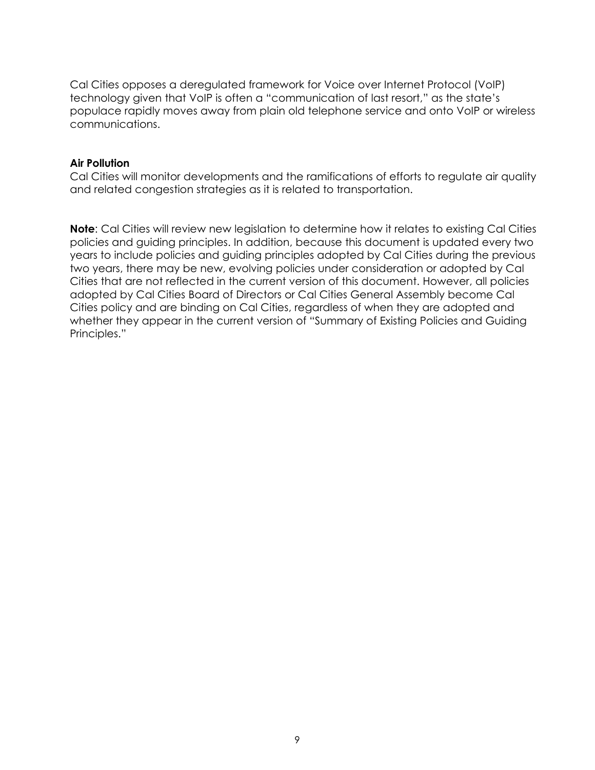Cal Cities opposes a deregulated framework for Voice over Internet Protocol (VoIP) technology given that VoIP is often a "communication of last resort," as the state's populace rapidly moves away from plain old telephone service and onto VoIP or wireless communications.

#### **Air Pollution**

Cal Cities will monitor developments and the ramifications of efforts to regulate air quality and related congestion strategies as it is related to transportation.

**Note**: Cal Cities will review new legislation to determine how it relates to existing Cal Cities policies and guiding principles. In addition, because this document is updated every two years to include policies and guiding principles adopted by Cal Cities during the previous two years, there may be new, evolving policies under consideration or adopted by Cal Cities that are not reflected in the current version of this document. However, all policies adopted by Cal Cities Board of Directors or Cal Cities General Assembly become Cal Cities policy and are binding on Cal Cities, regardless of when they are adopted and whether they appear in the current version of "Summary of Existing Policies and Guiding Principles."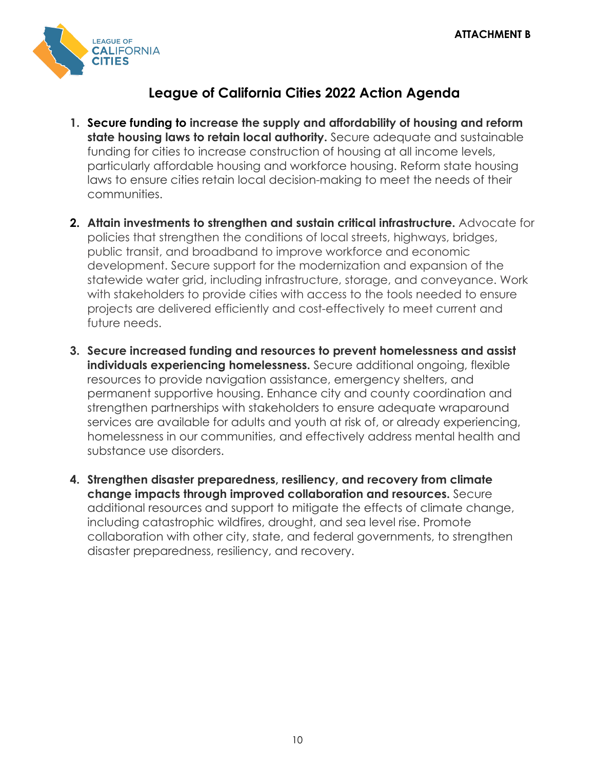

# **League of California Cities 2022 Action Agenda**

- **1. Secure funding to increase the supply and affordability of housing and reform state housing laws to retain local authority.** Secure adequate and sustainable funding for cities to increase construction of housing at all income levels, particularly affordable housing and workforce housing. Reform state housing laws to ensure cities retain local decision-making to meet the needs of their communities.
- **2. Attain investments to strengthen and sustain critical infrastructure.** Advocate for policies that strengthen the conditions of local streets, highways, bridges, public transit, and broadband to improve workforce and economic development. Secure support for the modernization and expansion of the statewide water grid, including infrastructure, storage, and conveyance. Work with stakeholders to provide cities with access to the tools needed to ensure projects are delivered efficiently and cost-effectively to meet current and future needs.
- **3. Secure increased funding and resources to prevent homelessness and assist individuals experiencing homelessness.** Secure additional ongoing, flexible resources to provide navigation assistance, emergency shelters, and permanent supportive housing. Enhance city and county coordination and strengthen partnerships with stakeholders to ensure adequate wraparound services are available for adults and youth at risk of, or already experiencing, homelessness in our communities, and effectively address mental health and substance use disorders.
- **4. Strengthen disaster preparedness, resiliency, and recovery from climate change impacts through improved collaboration and resources.** Secure additional resources and support to mitigate the effects of climate change, including catastrophic wildfires, drought, and sea level rise. Promote collaboration with other city, state, and federal governments, to strengthen disaster preparedness, resiliency, and recovery.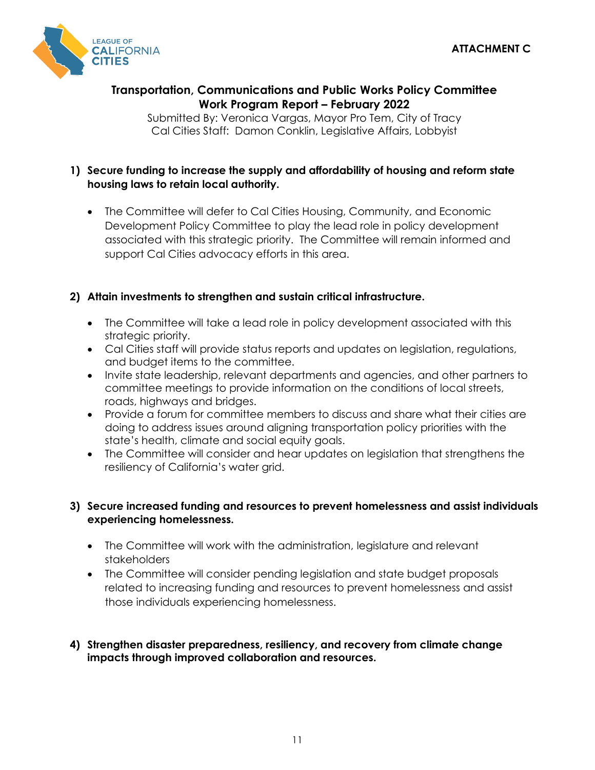

# **Transportation, Communications and Public Works Policy Committee Work Program Report – February 2022**

Submitted By: Veronica Vargas, Mayor Pro Tem, City of Tracy Cal Cities Staff: Damon Conklin, Legislative Affairs, Lobbyist

## **1) Secure funding to increase the supply and affordability of housing and reform state housing laws to retain local authority.**

• The Committee will defer to Cal Cities Housing, Community, and Economic Development Policy Committee to play the lead role in policy development associated with this strategic priority. The Committee will remain informed and support Cal Cities advocacy efforts in this area.

# **2) Attain investments to strengthen and sustain critical infrastructure.**

- The Committee will take a lead role in policy development associated with this strategic priority.
- Cal Cities staff will provide status reports and updates on legislation, regulations, and budget items to the committee.
- Invite state leadership, relevant departments and agencies, and other partners to committee meetings to provide information on the conditions of local streets, roads, highways and bridges.
- Provide a forum for committee members to discuss and share what their cities are doing to address issues around aligning transportation policy priorities with the state's health, climate and social equity goals.
- The Committee will consider and hear updates on legislation that strengthens the resiliency of California's water grid.

## **3) Secure increased funding and resources to prevent homelessness and assist individuals experiencing homelessness.**

- The Committee will work with the administration, legislature and relevant stakeholders
- The Committee will consider pending legislation and state budget proposals related to increasing funding and resources to prevent homelessness and assist those individuals experiencing homelessness.

## **4) Strengthen disaster preparedness, resiliency, and recovery from climate change impacts through improved collaboration and resources.**